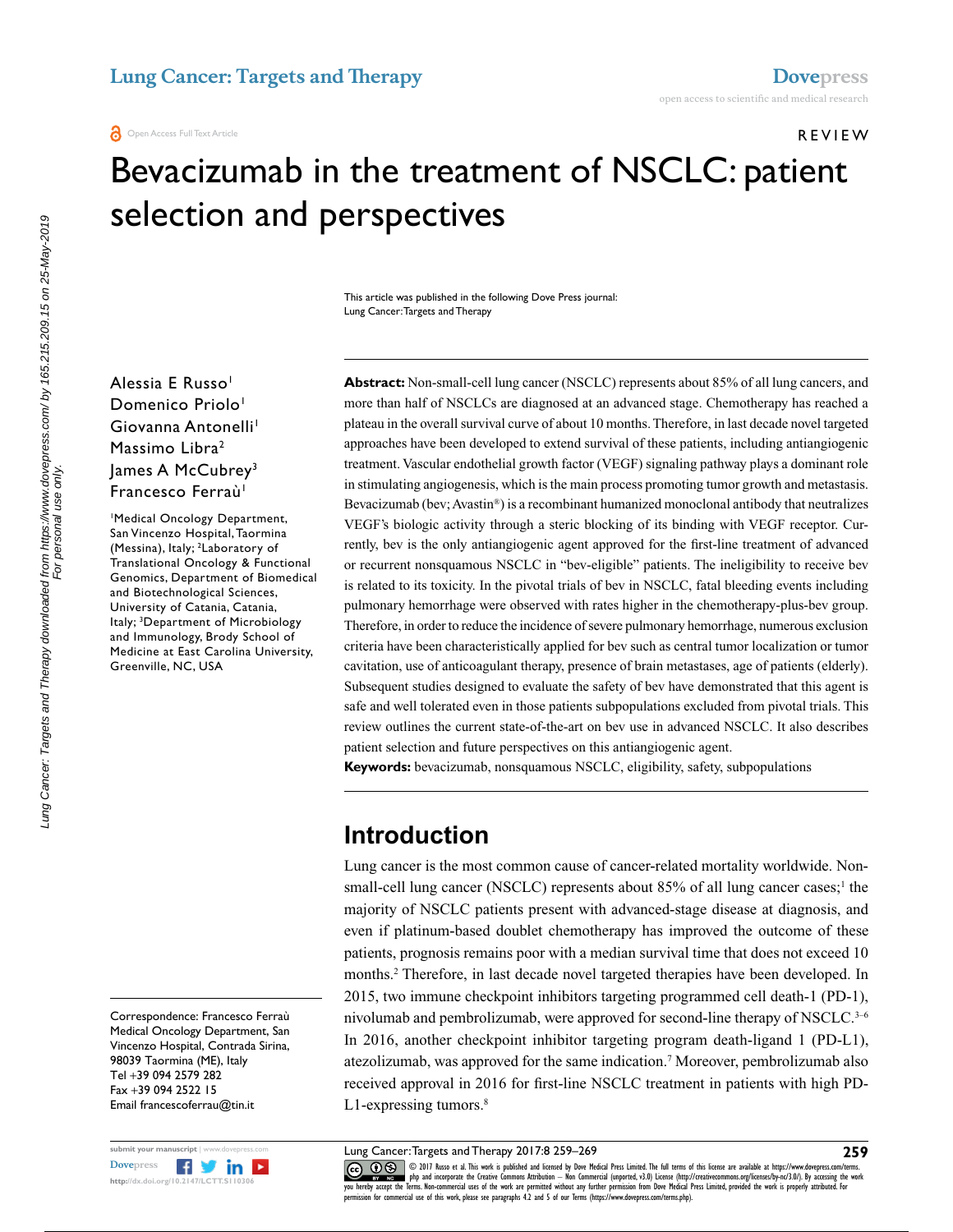REVIEW

# Bevacizumab in the treatment of NSCLC: patient selection and perspectives

This article was published in the following Dove Press journal: Lung Cancer: Targets and Therapy

Alessia E Russo<sup>1</sup> Domenico Priolo<sup>1</sup> Giovanna Antonelli<sup>1</sup> Massimo Libra<sup>2</sup> James A McCubrey<sup>3</sup> Francesco Ferraù<sup>1</sup>

1 Medical Oncology Department, San Vincenzo Hospital, Taormina (Messina), Italy; <sup>2</sup>Laboratory of Translational Oncology & Functional Genomics, Department of Biomedical and Biotechnological Sciences, University of Catania, Catania, Italy; 3 Department of Microbiology and Immunology, Brody School of Medicine at East Carolina University, Greenville, NC, USA

Correspondence: Francesco Ferraù Medical Oncology Department, San Vincenzo Hospital, Contrada Sirina, 98039 Taormina (ME), Italy Tel +39 094 2579 282 Fax +39 094 2522 15 Email [francescoferrau@tin.it](mailto:francescoferrau@tin.it)



Lung Cancer: Targets and Therapy downloaded from https://www.dovepress.com/ by 165.215.209.15 on 25-May-2019<br>For personal use only. Lung Cancer: Targets and Therapy downloaded from https://www.dovepress.com/ by 165.215.209.15 on 25-May-2019 For personal use only.

**Abstract:** Non-small-cell lung cancer (NSCLC) represents about 85% of all lung cancers, and more than half of NSCLCs are diagnosed at an advanced stage. Chemotherapy has reached a plateau in the overall survival curve of about 10 months. Therefore, in last decade novel targeted approaches have been developed to extend survival of these patients, including antiangiogenic treatment. Vascular endothelial growth factor (VEGF) signaling pathway plays a dominant role in stimulating angiogenesis, which is the main process promoting tumor growth and metastasis. Bevacizumab (bev; Avastin®) is a recombinant humanized monoclonal antibody that neutralizes VEGF's biologic activity through a steric blocking of its binding with VEGF receptor. Currently, bev is the only antiangiogenic agent approved for the first-line treatment of advanced or recurrent nonsquamous NSCLC in "bev-eligible" patients. The ineligibility to receive bev is related to its toxicity. In the pivotal trials of bev in NSCLC, fatal bleeding events including pulmonary hemorrhage were observed with rates higher in the chemotherapy-plus-bev group. Therefore, in order to reduce the incidence of severe pulmonary hemorrhage, numerous exclusion criteria have been characteristically applied for bev such as central tumor localization or tumor cavitation, use of anticoagulant therapy, presence of brain metastases, age of patients (elderly). Subsequent studies designed to evaluate the safety of bev have demonstrated that this agent is safe and well tolerated even in those patients subpopulations excluded from pivotal trials. This review outlines the current state-of-the-art on bev use in advanced NSCLC. It also describes patient selection and future perspectives on this antiangiogenic agent.

**Keywords:** bevacizumab, nonsquamous NSCLC, eligibility, safety, subpopulations

## **Introduction**

Lung cancer is the most common cause of cancer-related mortality worldwide. Nonsmall-cell lung cancer (NSCLC) represents about  $85\%$  of all lung cancer cases;<sup>1</sup> the majority of NSCLC patients present with advanced-stage disease at diagnosis, and even if platinum-based doublet chemotherapy has improved the outcome of these patients, prognosis remains poor with a median survival time that does not exceed 10 months.2 Therefore, in last decade novel targeted therapies have been developed. In 2015, two immune checkpoint inhibitors targeting programmed cell death-1 (PD-1), nivolumab and pembrolizumab, were approved for second-line therapy of NSCLC.<sup>3-6</sup> In 2016, another checkpoint inhibitor targeting program death-ligand 1 (PD-L1), atezolizumab, was approved for the same indication.7 Moreover, pembrolizumab also received approval in 2016 for first-line NSCLC treatment in patients with high PD-L1-expressing tumors.<sup>8</sup>

Lung Cancer: Targets and Therapy 2017:8 259–269

**259**

COM DIT Russo et al. This work is published and licensed by Dove Medical Press Limited. The full terms of this license are available at https://www.dovepress.com/terms.<br> [you hereby accept the T](http://www.dovepress.com/permissions.php)erms. Non-commercial uses of permission for commercial use of this work, please see paragraphs 4.2 and 5 of our Terms (https://www.dovepress.com/terms.php).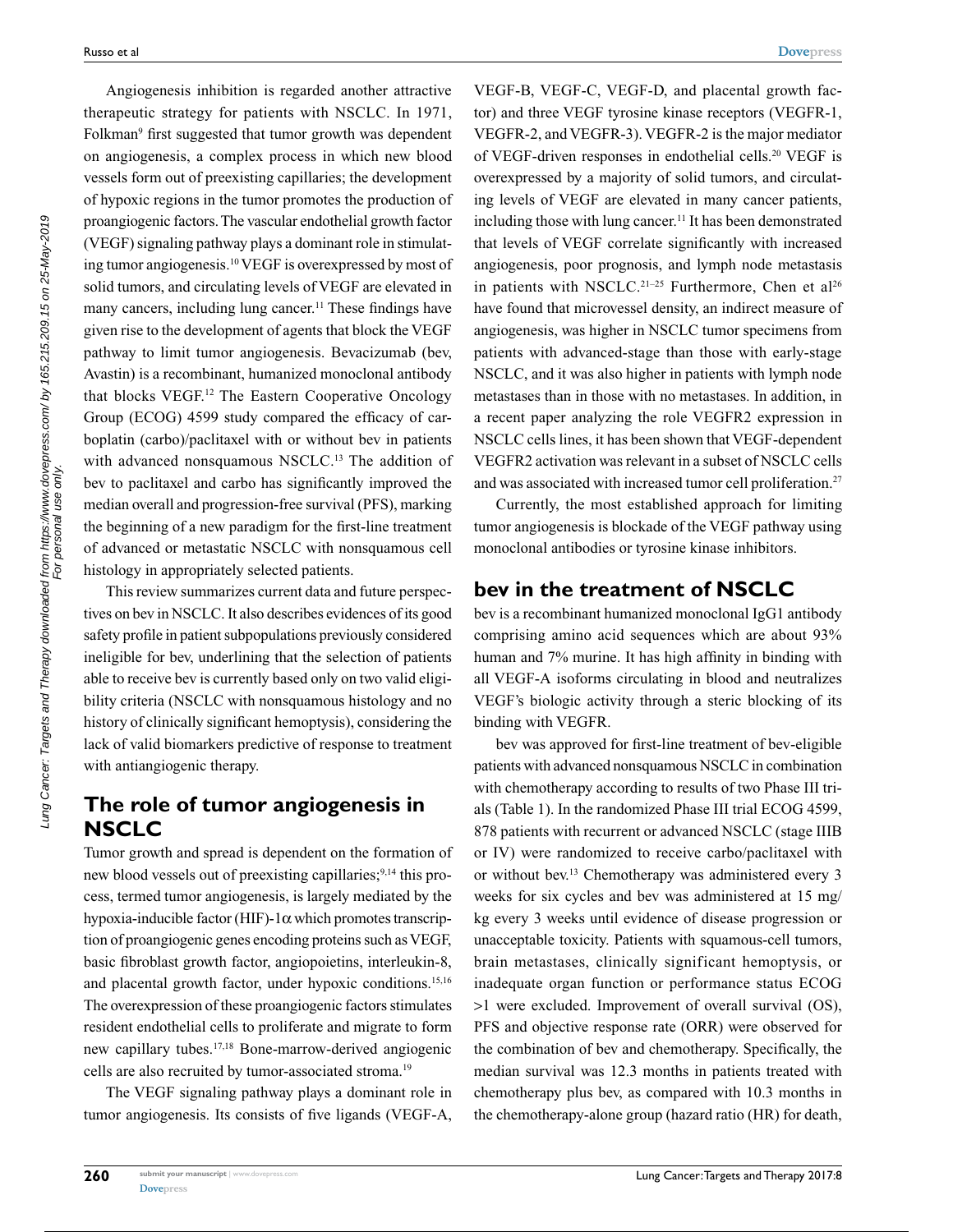Angiogenesis inhibition is regarded another attractive therapeutic strategy for patients with NSCLC. In 1971, Folkman<sup>9</sup> first suggested that tumor growth was dependent on angiogenesis, a complex process in which new blood vessels form out of preexisting capillaries; the development of hypoxic regions in the tumor promotes the production of proangiogenic factors. The vascular endothelial growth factor (VEGF) signaling pathway plays a dominant role in stimulating tumor angiogenesis.10 VEGF is overexpressed by most of solid tumors, and circulating levels of VEGF are elevated in many cancers, including lung cancer.<sup>11</sup> These findings have given rise to the development of agents that block the VEGF pathway to limit tumor angiogenesis. Bevacizumab (bev, Avastin) is a recombinant, humanized monoclonal antibody that blocks VEGF.12 The Eastern Cooperative Oncology Group (ECOG) 4599 study compared the efficacy of carboplatin (carbo)/paclitaxel with or without bev in patients with advanced nonsquamous NSCLC.<sup>13</sup> The addition of bev to paclitaxel and carbo has significantly improved the median overall and progression-free survival (PFS), marking the beginning of a new paradigm for the first-line treatment of advanced or metastatic NSCLC with nonsquamous cell histology in appropriately selected patients.

This review summarizes current data and future perspectives on bev in NSCLC. It also describes evidences of its good safety profile in patient subpopulations previously considered ineligible for bev, underlining that the selection of patients able to receive bev is currently based only on two valid eligibility criteria (NSCLC with nonsquamous histology and no history of clinically significant hemoptysis), considering the lack of valid biomarkers predictive of response to treatment with antiangiogenic therapy.

## **The role of tumor angiogenesis in NSCLC**

Tumor growth and spread is dependent on the formation of new blood vessels out of preexisting capillaries;<sup>9,14</sup> this process, termed tumor angiogenesis, is largely mediated by the hypoxia-inducible factor (HIF)-1α which promotes transcription of proangiogenic genes encoding proteins such as VEGF, basic fibroblast growth factor, angiopoietins, interleukin-8, and placental growth factor, under hypoxic conditions.<sup>15,16</sup> The overexpression of these proangiogenic factors stimulates resident endothelial cells to proliferate and migrate to form new capillary tubes.17,18 Bone-marrow-derived angiogenic cells are also recruited by tumor-associated stroma.<sup>19</sup>

The VEGF signaling pathway plays a dominant role in tumor angiogenesis. Its consists of five ligands (VEGF-A,

VEGF-B, VEGF-C, VEGF-D, and placental growth factor) and three VEGF tyrosine kinase receptors (VEGFR-1, VEGFR-2, and VEGFR-3). VEGFR-2 is the major mediator of VEGF-driven responses in endothelial cells.20 VEGF is overexpressed by a majority of solid tumors, and circulating levels of VEGF are elevated in many cancer patients, including those with lung cancer.<sup>11</sup> It has been demonstrated that levels of VEGF correlate significantly with increased angiogenesis, poor prognosis, and lymph node metastasis in patients with NSCLC.<sup>21-25</sup> Furthermore, Chen et al<sup>26</sup> have found that microvessel density, an indirect measure of angiogenesis, was higher in NSCLC tumor specimens from patients with advanced-stage than those with early-stage NSCLC, and it was also higher in patients with lymph node metastases than in those with no metastases. In addition, in a recent paper analyzing the role VEGFR2 expression in NSCLC cells lines, it has been shown that VEGF-dependent VEGFR2 activation was relevant in a subset of NSCLC cells and was associated with increased tumor cell proliferation.<sup>27</sup>

Currently, the most established approach for limiting tumor angiogenesis is blockade of the VEGF pathway using monoclonal antibodies or tyrosine kinase inhibitors.

## **bev in the treatment of NSCLC**

bev is a recombinant humanized monoclonal IgG1 antibody comprising amino acid sequences which are about 93% human and 7% murine. It has high affinity in binding with all VEGF-A isoforms circulating in blood and neutralizes VEGF's biologic activity through a steric blocking of its binding with VEGFR.

bev was approved for first-line treatment of bev-eligible patients with advanced nonsquamous NSCLC in combination with chemotherapy according to results of two Phase III trials (Table 1). In the randomized Phase III trial ECOG 4599, 878 patients with recurrent or advanced NSCLC (stage IIIB or IV) were randomized to receive carbo/paclitaxel with or without bev.13 Chemotherapy was administered every 3 weeks for six cycles and bev was administered at 15 mg/ kg every 3 weeks until evidence of disease progression or unacceptable toxicity. Patients with squamous-cell tumors, brain metastases, clinically significant hemoptysis, or inadequate organ function or performance status ECOG >1 were excluded. Improvement of overall survival (OS), PFS and objective response rate (ORR) were observed for the combination of bev and chemotherapy. Specifically, the median survival was 12.3 months in patients treated with chemotherapy plus bev, as compared with 10.3 months in the chemotherapy-alone group (hazard ratio (HR) for death,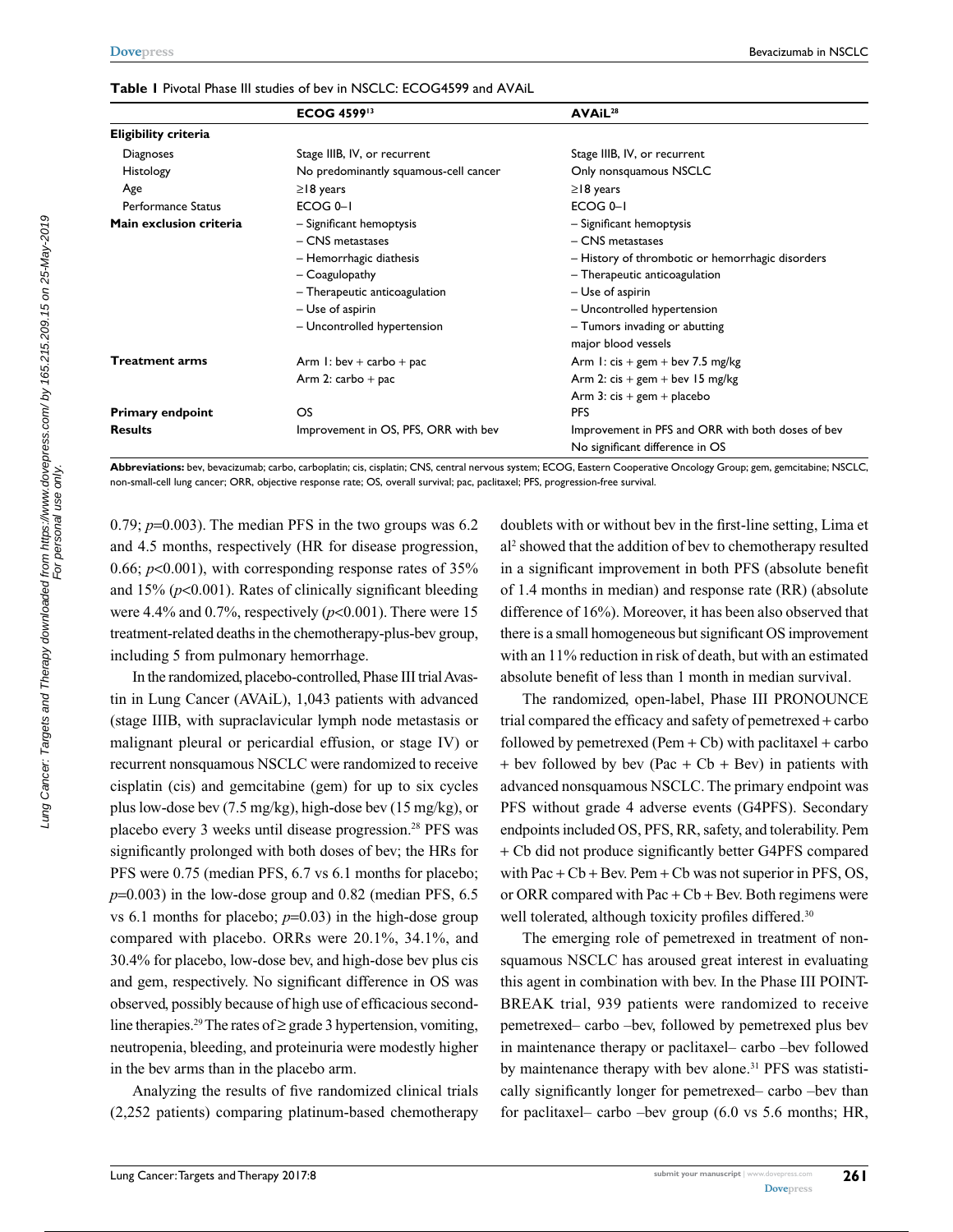| <b>Table I</b> Pivotal Phase III studies of bev in NSCLC: ECOG4599 and AVAiL |  |  |  |
|------------------------------------------------------------------------------|--|--|--|
|------------------------------------------------------------------------------|--|--|--|

|                             | <b>ECOG 459913</b>                    | AVAiL <sup>28</sup>                                  |  |
|-----------------------------|---------------------------------------|------------------------------------------------------|--|
| <b>Eligibility criteria</b> |                                       |                                                      |  |
| Diagnoses                   | Stage IIIB, IV, or recurrent          | Stage IIIB, IV, or recurrent                         |  |
| Histology                   | No predominantly squamous-cell cancer | Only nonsquamous NSCLC                               |  |
| Age                         | $\geq$   8 years                      | $\geq$   8 years                                     |  |
| <b>Performance Status</b>   | ECOG <sub>0-1</sub>                   | ECOG <sub>0-1</sub>                                  |  |
| Main exclusion criteria     | - Significant hemoptysis              | - Significant hemoptysis                             |  |
|                             | $-$ CNS metastases                    | - CNS metastases                                     |  |
|                             | - Hemorrhagic diathesis               | - History of thrombotic or hemorrhagic disorders     |  |
|                             | - Coagulopathy                        | - Therapeutic anticoagulation                        |  |
|                             | - Therapeutic anticoagulation         | - Use of aspirin                                     |  |
|                             | - Use of aspirin                      | - Uncontrolled hypertension                          |  |
|                             | - Uncontrolled hypertension           | - Tumors invading or abutting<br>major blood vessels |  |
| <b>Treatment arms</b>       | Arm 1: bev + carbo + pac              | Arm 1: $cis + gem + bev$ 7.5 mg/kg                   |  |
|                             | Arm 2: $\text{carbo} + \text{pac}$    | Arm 2: $cis + gem + bev$ 15 mg/kg                    |  |
|                             |                                       | Arm 3: $cis + gem + placebo$                         |  |
| <b>Primary endpoint</b>     | OS                                    | <b>PFS</b>                                           |  |
| <b>Results</b>              | Improvement in OS, PFS, ORR with bev  | Improvement in PFS and ORR with both doses of bev    |  |
|                             |                                       | No significant difference in OS                      |  |

**Abbreviations:** bev, bevacizumab; carbo, carboplatin; cis, cisplatin; CNS, central nervous system; ECOG, Eastern Cooperative Oncology Group; gem, gemcitabine; NSCLC, non-small-cell lung cancer; ORR, objective response rate; OS, overall survival; pac, paclitaxel; PFS, progression-free survival.

0.79;  $p=0.003$ ). The median PFS in the two groups was 6.2 and 4.5 months, respectively (HR for disease progression, 0.66;  $p<0.001$ ), with corresponding response rates of  $35%$ and 15% (*p*<0.001). Rates of clinically significant bleeding were 4.4% and  $0.7\%$ , respectively ( $p<0.001$ ). There were 15 treatment-related deaths in the chemotherapy-plus-bev group, including 5 from pulmonary hemorrhage.

In the randomized, placebo-controlled, Phase III trial Avastin in Lung Cancer (AVAiL), 1,043 patients with advanced (stage IIIB, with supraclavicular lymph node metastasis or malignant pleural or pericardial effusion, or stage IV) or recurrent nonsquamous NSCLC were randomized to receive cisplatin (cis) and gemcitabine (gem) for up to six cycles plus low-dose bev (7.5 mg/kg), high-dose bev (15 mg/kg), or placebo every 3 weeks until disease progression.<sup>28</sup> PFS was significantly prolonged with both doses of bev; the HRs for PFS were 0.75 (median PFS, 6.7 vs 6.1 months for placebo;  $p=0.003$ ) in the low-dose group and 0.82 (median PFS, 6.5) vs 6.1 months for placebo;  $p=0.03$ ) in the high-dose group compared with placebo. ORRs were 20.1%, 34.1%, and 30.4% for placebo, low-dose bev, and high-dose bev plus cis and gem, respectively. No significant difference in OS was observed, possibly because of high use of efficacious secondline therapies.<sup>29</sup> The rates of  $\geq$  grade 3 hypertension, vomiting, neutropenia, bleeding, and proteinuria were modestly higher in the bev arms than in the placebo arm.

Analyzing the results of five randomized clinical trials (2,252 patients) comparing platinum-based chemotherapy

doublets with or without bev in the first-line setting, Lima et al2 showed that the addition of bev to chemotherapy resulted in a significant improvement in both PFS (absolute benefit of 1.4 months in median) and response rate (RR) (absolute difference of 16%). Moreover, it has been also observed that there is a small homogeneous but significant OS improvement with an 11% reduction in risk of death, but with an estimated absolute benefit of less than 1 month in median survival.

The randomized, open-label, Phase III PRONOUNCE trial compared the efficacy and safety of pemetrexed + carbo followed by pemetrexed (Pem  $+$  Cb) with paclitaxel  $+$  carbo + bev followed by bev (Pac +  $Cb$  + Bev) in patients with advanced nonsquamous NSCLC. The primary endpoint was PFS without grade 4 adverse events (G4PFS). Secondary endpoints included OS, PFS, RR, safety, and tolerability. Pem + Cb did not produce significantly better G4PFS compared with  $Pac + Cb + Bev$ . Pem + Cb was not superior in PFS, OS, or ORR compared with Pac  $+$  Cb  $+$  Bev. Both regimens were well tolerated, although toxicity profiles differed.<sup>30</sup>

The emerging role of pemetrexed in treatment of nonsquamous NSCLC has aroused great interest in evaluating this agent in combination with bev. In the Phase III POINT-BREAK trial, 939 patients were randomized to receive pemetrexed– carbo –bev, followed by pemetrexed plus bev in maintenance therapy or paclitaxel– carbo –bev followed by maintenance therapy with bev alone.<sup>31</sup> PFS was statistically significantly longer for pemetrexed– carbo –bev than for paclitaxel– carbo –bev group (6.0 vs 5.6 months; HR,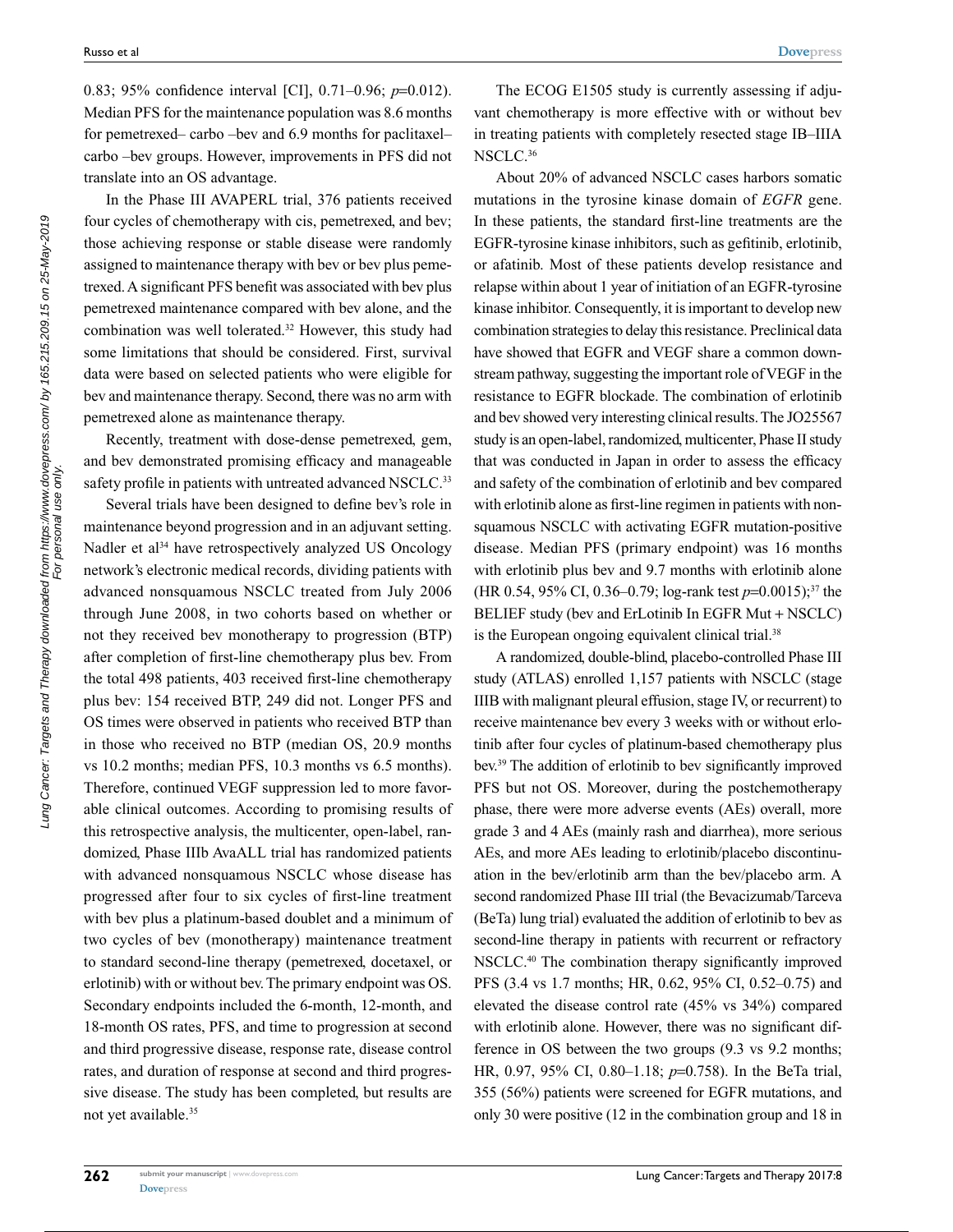0.83; 95% confidence interval [CI], 0.71–0.96; *p*=0.012). Median PFS for the maintenance population was 8.6 months for pemetrexed– carbo –bev and 6.9 months for paclitaxel– carbo –bev groups. However, improvements in PFS did not translate into an OS advantage.

In the Phase III AVAPERL trial, 376 patients received four cycles of chemotherapy with cis, pemetrexed, and bev; those achieving response or stable disease were randomly assigned to maintenance therapy with bev or bev plus pemetrexed. A significant PFS benefit was associated with bev plus pemetrexed maintenance compared with bev alone, and the combination was well tolerated.32 However, this study had some limitations that should be considered. First, survival data were based on selected patients who were eligible for bev and maintenance therapy. Second, there was no arm with pemetrexed alone as maintenance therapy.

Recently, treatment with dose-dense pemetrexed, gem, and bev demonstrated promising efficacy and manageable safety profile in patients with untreated advanced NSCLC.<sup>33</sup>

Several trials have been designed to define bev's role in maintenance beyond progression and in an adjuvant setting. Nadler et al<sup>34</sup> have retrospectively analyzed US Oncology network's electronic medical records, dividing patients with advanced nonsquamous NSCLC treated from July 2006 through June 2008, in two cohorts based on whether or not they received bev monotherapy to progression (BTP) after completion of first-line chemotherapy plus bev. From the total 498 patients, 403 received first-line chemotherapy plus bev: 154 received BTP, 249 did not. Longer PFS and OS times were observed in patients who received BTP than in those who received no BTP (median OS, 20.9 months vs 10.2 months; median PFS, 10.3 months vs 6.5 months). Therefore, continued VEGF suppression led to more favorable clinical outcomes. According to promising results of this retrospective analysis, the multicenter, open-label, randomized, Phase IIIb AvaALL trial has randomized patients with advanced nonsquamous NSCLC whose disease has progressed after four to six cycles of first-line treatment with bev plus a platinum-based doublet and a minimum of two cycles of bev (monotherapy) maintenance treatment to standard second-line therapy (pemetrexed, docetaxel, or erlotinib) with or without bev. The primary endpoint was OS. Secondary endpoints included the 6-month, 12-month, and 18-month OS rates, PFS, and time to progression at second and third progressive disease, response rate, disease control rates, and duration of response at second and third progressive disease. The study has been completed, but results are not yet available.35

The ECOG E1505 study is currently assessing if adjuvant chemotherapy is more effective with or without bev in treating patients with completely resected stage IB–IIIA NSCLC.36

About 20% of advanced NSCLC cases harbors somatic mutations in the tyrosine kinase domain of *EGFR* gene. In these patients, the standard first-line treatments are the EGFR-tyrosine kinase inhibitors, such as gefitinib, erlotinib, or afatinib. Most of these patients develop resistance and relapse within about 1 year of initiation of an EGFR-tyrosine kinase inhibitor. Consequently, it is important to develop new combination strategies to delay this resistance. Preclinical data have showed that EGFR and VEGF share a common downstream pathway, suggesting the important role of VEGF in the resistance to EGFR blockade. The combination of erlotinib and bev showed very interesting clinical results. The JO25567 study is an open-label, randomized, multicenter, Phase II study that was conducted in Japan in order to assess the efficacy and safety of the combination of erlotinib and bev compared with erlotinib alone as first-line regimen in patients with nonsquamous NSCLC with activating EGFR mutation-positive disease. Median PFS (primary endpoint) was 16 months with erlotinib plus bev and 9.7 months with erlotinib alone (HR 0.54, 95% CI, 0.36–0.79; log-rank test *p*=0.0015);37 the BELIEF study (bev and ErLotinib In EGFR Mut + NSCLC) is the European ongoing equivalent clinical trial.<sup>38</sup>

A randomized, double-blind, placebo-controlled Phase III study (ATLAS) enrolled 1,157 patients with NSCLC (stage IIIB with malignant pleural effusion, stage IV, or recurrent) to receive maintenance bev every 3 weeks with or without erlotinib after four cycles of platinum-based chemotherapy plus bev.39 The addition of erlotinib to bev significantly improved PFS but not OS. Moreover, during the postchemotherapy phase, there were more adverse events (AEs) overall, more grade 3 and 4 AEs (mainly rash and diarrhea), more serious AEs, and more AEs leading to erlotinib/placebo discontinuation in the bev/erlotinib arm than the bev/placebo arm. A second randomized Phase III trial (the Bevacizumab/Tarceva (BeTa) lung trial) evaluated the addition of erlotinib to bev as second-line therapy in patients with recurrent or refractory NSCLC.40 The combination therapy significantly improved PFS (3.4 vs 1.7 months; HR, 0.62, 95% CI, 0.52–0.75) and elevated the disease control rate (45% vs 34%) compared with erlotinib alone. However, there was no significant difference in OS between the two groups (9.3 vs 9.2 months; HR, 0.97, 95% CI, 0.80–1.18; *p*=0.758). In the BeTa trial, 355 (56%) patients were screened for EGFR mutations, and only 30 were positive (12 in the combination group and 18 in

Lung Cancer: Targets and Therapy downloaded from https://www.dovepress.com/ by 165.215.209.15 on 25-May-2019<br>For personal use only. Lung Cancer: Targets and Therapy downloaded from https://www.dovepress.com/ by 165.215.209.15 on 25-May-2019 For personal use only.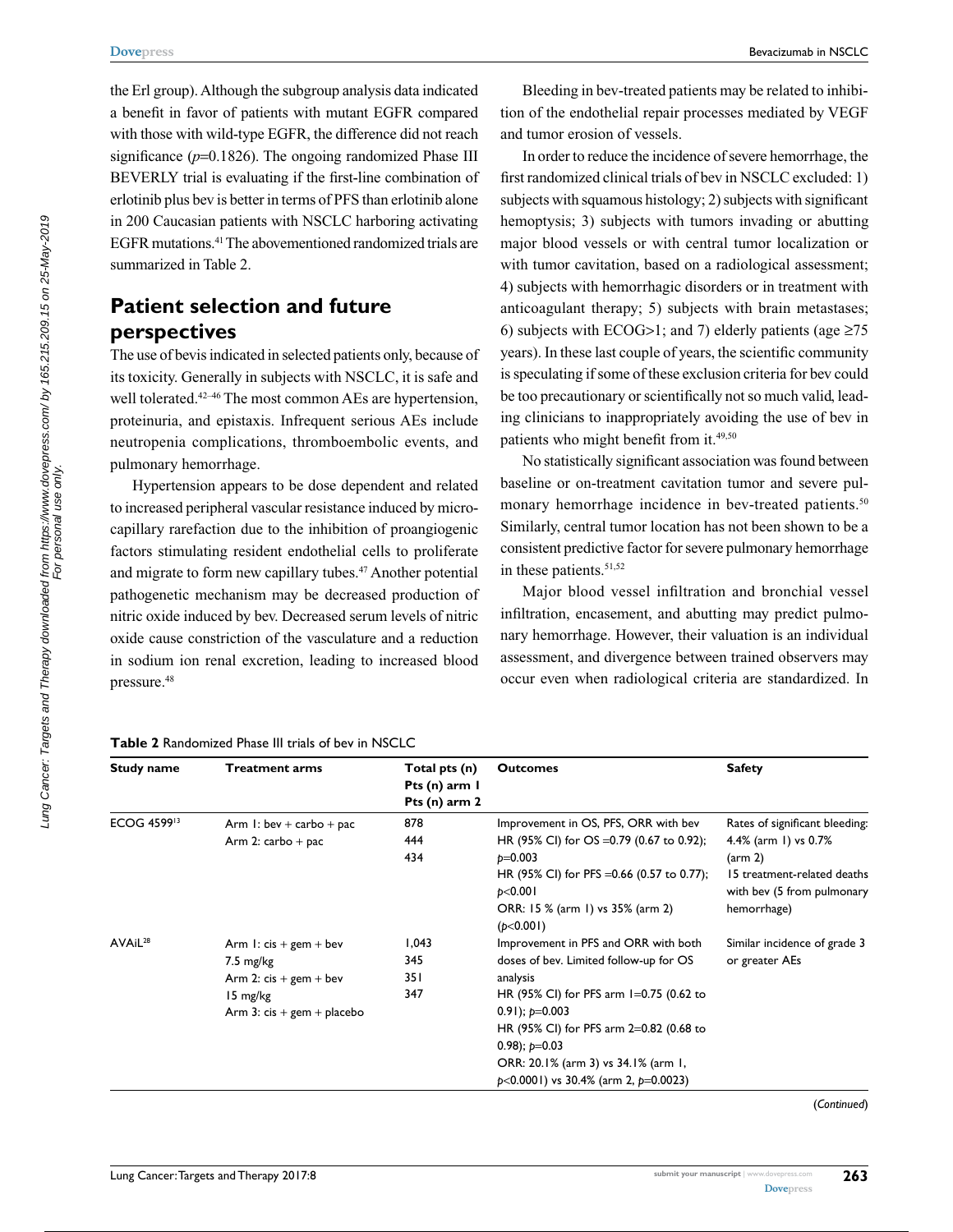the Erl group). Although the subgroup analysis data indicated a benefit in favor of patients with mutant EGFR compared with those with wild-type EGFR, the difference did not reach significance ( $p=0.1826$ ). The ongoing randomized Phase III BEVERLY trial is evaluating if the first-line combination of erlotinib plus bev is better in terms of PFS than erlotinib alone in 200 Caucasian patients with NSCLC harboring activating EGFR mutations.41 The abovementioned randomized trials are summarized in Table 2.

## **Patient selection and future perspectives**

The use of bevis indicated in selected patients only, because of its toxicity. Generally in subjects with NSCLC, it is safe and well tolerated.<sup>42–46</sup> The most common AEs are hypertension, proteinuria, and epistaxis. Infrequent serious AEs include neutropenia complications, thromboembolic events, and pulmonary hemorrhage.

Hypertension appears to be dose dependent and related to increased peripheral vascular resistance induced by microcapillary rarefaction due to the inhibition of proangiogenic factors stimulating resident endothelial cells to proliferate and migrate to form new capillary tubes.47 Another potential pathogenetic mechanism may be decreased production of nitric oxide induced by bev. Decreased serum levels of nitric oxide cause constriction of the vasculature and a reduction in sodium ion renal excretion, leading to increased blood pressure.48

#### **Table 2** Randomized Phase III trials of bev in NSCLC

Bleeding in bev-treated patients may be related to inhibition of the endothelial repair processes mediated by VEGF and tumor erosion of vessels.

In order to reduce the incidence of severe hemorrhage, the first randomized clinical trials of bev in NSCLC excluded: 1) subjects with squamous histology; 2) subjects with significant hemoptysis; 3) subjects with tumors invading or abutting major blood vessels or with central tumor localization or with tumor cavitation, based on a radiological assessment; 4) subjects with hemorrhagic disorders or in treatment with anticoagulant therapy; 5) subjects with brain metastases; 6) subjects with ECOG>1; and 7) elderly patients (age  $\geq 75$ years). In these last couple of years, the scientific community is speculating if some of these exclusion criteria for bev could be too precautionary or scientifically not so much valid, leading clinicians to inappropriately avoiding the use of bev in patients who might benefit from it.<sup>49,50</sup>

No statistically significant association was found between baseline or on-treatment cavitation tumor and severe pulmonary hemorrhage incidence in bev-treated patients.<sup>50</sup> Similarly, central tumor location has not been shown to be a consistent predictive factor for severe pulmonary hemorrhage in these patients.<sup>51,52</sup>

Major blood vessel infiltration and bronchial vessel infiltration, encasement, and abutting may predict pulmonary hemorrhage. However, their valuation is an individual assessment, and divergence between trained observers may occur even when radiological criteria are standardized. In

| <b>Study name</b>       | Treatment arms                     | Total pts (n)<br>Pts (n) arm 1<br>Pts $(n)$ arm 2 | <b>Outcomes</b>                                        | <b>Safety</b>                                             |
|-------------------------|------------------------------------|---------------------------------------------------|--------------------------------------------------------|-----------------------------------------------------------|
| ECOG 4599 <sup>13</sup> | Arm $1:$ bev + carbo + pac         | 878                                               | Improvement in OS, PFS, ORR with bev                   | Rates of significant bleeding:                            |
|                         | Arm 2: $\text{carbo} + \text{pac}$ | 444<br>434                                        | HR (95% CI) for OS = 0.79 (0.67 to 0.92);<br>$p=0.003$ | 4.4% (arm 1) vs 0.7%<br>$\frac{1}{2}$                     |
|                         |                                    |                                                   | HR (95% CI) for PFS = 0.66 (0.57 to 0.77);<br>p<0.001  | 15 treatment-related deaths<br>with bev (5 from pulmonary |
|                         |                                    |                                                   | ORR: 15 % (arm 1) vs 35% (arm 2)<br>(b<0.001)          | hemorrhage)                                               |
| AVAiL <sup>28</sup>     | Arm 1: $cis + gem + bev$           | 1,043                                             | Improvement in PFS and ORR with both                   | Similar incidence of grade 3                              |
|                         | $7.5 \text{ mg/kg}$                | 345                                               | doses of bev. Limited follow-up for OS                 | or greater AEs                                            |
|                         | Arm 2: $cis + gem + bev$           | 35 I                                              | analysis                                               |                                                           |
|                         | 15 mg/kg                           | 347                                               | HR (95% CI) for PFS arm 1=0.75 (0.62 to                |                                                           |
|                         | Arm 3: $cis + gem + placebo$       |                                                   | 0.91); $p=0.003$                                       |                                                           |
|                         |                                    |                                                   | HR (95% CI) for PFS arm 2=0.82 (0.68 to                |                                                           |
|                         |                                    |                                                   | 0.98); $p=0.03$                                        |                                                           |
|                         |                                    |                                                   | ORR: 20.1% (arm 3) vs 34.1% (arm 1,                    |                                                           |
|                         |                                    |                                                   | $p<0.0001$ ) vs 30.4% (arm 2, $p=0.0023$ )             |                                                           |

(*Continued*)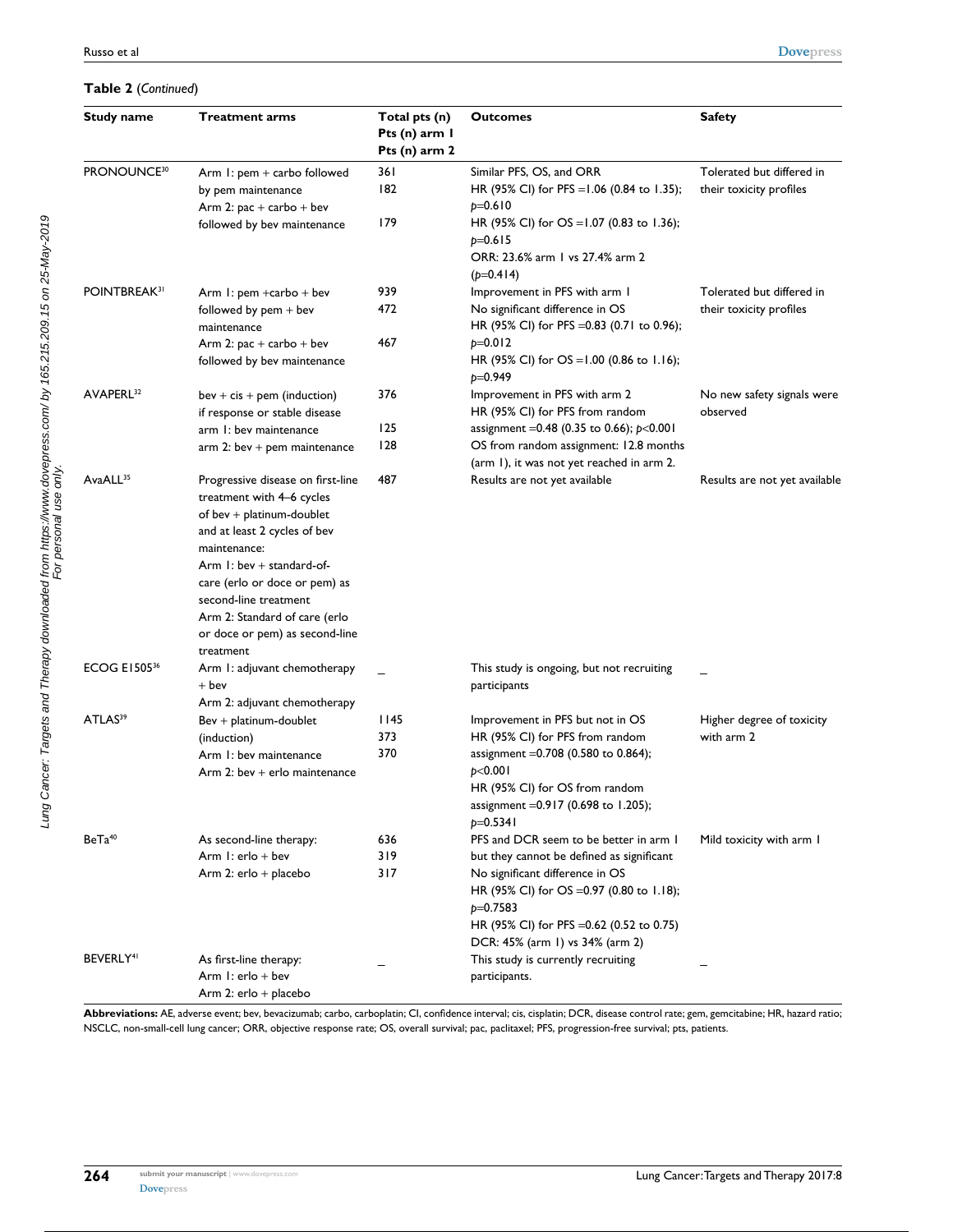#### **Table 2** (*Continued*)

| <b>Study name</b>        | <b>Treatment arms</b>                                                         | Total pts (n)<br>Pts (n) arm I<br>Pts (n) arm 2 | <b>Outcomes</b>                                                                                            | <b>Safety</b>                                        |
|--------------------------|-------------------------------------------------------------------------------|-------------------------------------------------|------------------------------------------------------------------------------------------------------------|------------------------------------------------------|
| PRONOUNCE <sup>30</sup>  | Arm 1: pem + carbo followed<br>by pem maintenance<br>Arm 2: pac + carbo + bev | 36 I<br>182                                     | Similar PFS, OS, and ORR<br>HR (95% CI) for PFS = 1.06 (0.84 to 1.35);<br>$p=0.610$                        | Tolerated but differed in<br>their toxicity profiles |
|                          | followed by bev maintenance                                                   | 179                                             | HR (95% CI) for $OS = 1.07$ (0.83 to 1.36);<br>$p=0.615$<br>ORR: 23.6% arm 1 vs 27.4% arm 2<br>$(p=0.414)$ |                                                      |
| POINTBREAK <sup>31</sup> | Arm 1: pem +carbo + bev                                                       | 939                                             | Improvement in PFS with arm I                                                                              | Tolerated but differed in                            |
|                          | followed by $pem + bev$<br>maintenance                                        | 472                                             | No significant difference in OS<br>HR (95% CI) for PFS = 0.83 (0.71 to 0.96);                              | their toxicity profiles                              |
|                          | Arm 2: pac + carbo + bev                                                      | 467                                             | $p=0.012$                                                                                                  |                                                      |
|                          | followed by bev maintenance                                                   |                                                 | HR (95% CI) for $OS = 1.00$ (0.86 to 1.16);<br>$p=0.949$                                                   |                                                      |
| AVAPERL <sup>32</sup>    | $bev + cis + pem (induction)$                                                 | 376                                             | Improvement in PFS with arm 2                                                                              | No new safety signals were                           |
|                          | if response or stable disease                                                 |                                                 | HR (95% CI) for PFS from random                                                                            | observed                                             |
|                          | arm 1: bev maintenance                                                        | 125                                             | assignment = 0.48 (0.35 to 0.66); $p<0.001$                                                                |                                                      |
|                          | $arm 2: bev + pem maintenance$                                                | 128                                             | OS from random assignment: 12.8 months                                                                     |                                                      |
|                          |                                                                               |                                                 | (arm 1), it was not yet reached in arm 2.                                                                  |                                                      |
| AvaALL <sup>35</sup>     | Progressive disease on first-line                                             | 487                                             | Results are not yet available                                                                              | Results are not yet available                        |
|                          | treatment with 4-6 cycles                                                     |                                                 |                                                                                                            |                                                      |
|                          | of bev + platinum-doublet                                                     |                                                 |                                                                                                            |                                                      |
|                          | and at least 2 cycles of bev<br>maintenance:                                  |                                                 |                                                                                                            |                                                      |
|                          | Arm $1:$ bev + standard-of-                                                   |                                                 |                                                                                                            |                                                      |
|                          | care (erlo or doce or pem) as                                                 |                                                 |                                                                                                            |                                                      |
|                          | second-line treatment                                                         |                                                 |                                                                                                            |                                                      |
|                          | Arm 2: Standard of care (erlo                                                 |                                                 |                                                                                                            |                                                      |
|                          | or doce or pem) as second-line<br>treatment                                   |                                                 |                                                                                                            |                                                      |
| <b>ECOG E150536</b>      | Arm 1: adjuvant chemotherapy                                                  |                                                 | This study is ongoing, but not recruiting                                                                  |                                                      |
|                          | $+$ bev                                                                       |                                                 | participants                                                                                               |                                                      |
|                          | Arm 2: adjuvant chemotherapy                                                  |                                                 |                                                                                                            |                                                      |
| ATLAS <sup>39</sup>      | $Bev + platinum-doublet$                                                      | l 145                                           | Improvement in PFS but not in OS                                                                           | Higher degree of toxicity                            |
|                          | (induction)                                                                   | 373                                             | HR (95% CI) for PFS from random                                                                            | with arm 2                                           |
|                          | Arm 1: bev maintenance                                                        | 370                                             | assignment = 0.708 (0.580 to 0.864);                                                                       |                                                      |
|                          | Arm 2: bev $+$ erlo maintenance                                               |                                                 | p<0.001<br>HR (95% CI) for OS from random                                                                  |                                                      |
|                          |                                                                               |                                                 | assignment = 0.917 (0.698 to 1.205);                                                                       |                                                      |
|                          |                                                                               |                                                 | $p=0.5341$                                                                                                 |                                                      |
| $BeTa^{40}$              | As second-line therapy:                                                       | 636                                             | PFS and DCR seem to be better in arm I                                                                     | Mild toxicity with arm I                             |
|                          | Arm 1: $erlo + bev$                                                           | 319                                             | but they cannot be defined as significant                                                                  |                                                      |
|                          | Arm 2: erlo + placebo                                                         | 317                                             | No significant difference in OS                                                                            |                                                      |
|                          |                                                                               |                                                 | HR (95% CI) for OS = 0.97 (0.80 to 1.18);                                                                  |                                                      |
|                          |                                                                               |                                                 | $p=0.7583$                                                                                                 |                                                      |
|                          |                                                                               |                                                 | HR (95% CI) for PFS = 0.62 (0.52 to 0.75)                                                                  |                                                      |
| BEVERLY <sup>41</sup>    |                                                                               |                                                 | DCR: 45% (arm 1) vs 34% (arm 2)                                                                            |                                                      |
|                          | As first-line therapy:<br>Arm $l$ : erlo + bev                                |                                                 | This study is currently recruiting<br>participants.                                                        |                                                      |
|                          | Arm 2: $erlo + placebo$                                                       |                                                 |                                                                                                            |                                                      |
|                          |                                                                               |                                                 |                                                                                                            |                                                      |

**Abbreviations:** AE, adverse event; bev, bevacizumab; carbo, carboplatin; CI, confidence interval; cis, cisplatin; DCR, disease control rate; gem, gemcitabine; HR, hazard ratio; NSCLC, non-small-cell lung cancer; ORR, objective response rate; OS, overall survival; pac, paclitaxel; PFS, progression-free survival; pts, patients.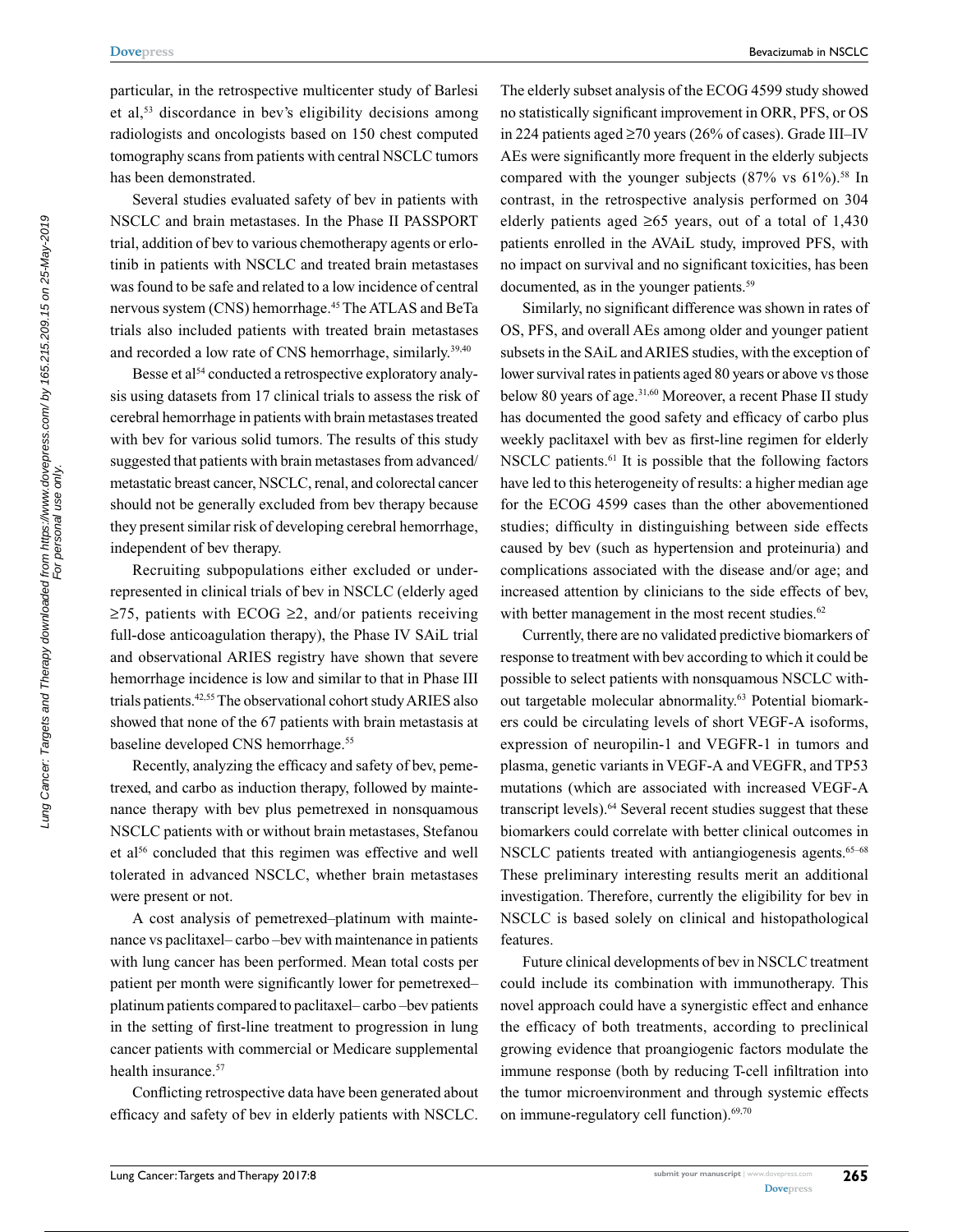particular, in the retrospective multicenter study of Barlesi et al,53 discordance in bev's eligibility decisions among radiologists and oncologists based on 150 chest computed tomography scans from patients with central NSCLC tumors has been demonstrated.

Several studies evaluated safety of bev in patients with NSCLC and brain metastases. In the Phase II PASSPORT trial, addition of bev to various chemotherapy agents or erlotinib in patients with NSCLC and treated brain metastases was found to be safe and related to a low incidence of central nervous system (CNS) hemorrhage.45 The ATLAS and BeTa trials also included patients with treated brain metastases and recorded a low rate of CNS hemorrhage, similarly.<sup>39,40</sup>

Besse et al<sup>54</sup> conducted a retrospective exploratory analysis using datasets from 17 clinical trials to assess the risk of cerebral hemorrhage in patients with brain metastases treated with bev for various solid tumors. The results of this study suggested that patients with brain metastases from advanced/ metastatic breast cancer, NSCLC, renal, and colorectal cancer should not be generally excluded from bev therapy because they present similar risk of developing cerebral hemorrhage, independent of bev therapy.

Recruiting subpopulations either excluded or underrepresented in clinical trials of bev in NSCLC (elderly aged  $≥75$ , patients with ECOG  $≥2$ , and/or patients receiving full-dose anticoagulation therapy), the Phase IV SAiL trial and observational ARIES registry have shown that severe hemorrhage incidence is low and similar to that in Phase III trials patients.42,55 The observational cohort study ARIES also showed that none of the 67 patients with brain metastasis at baseline developed CNS hemorrhage.<sup>55</sup>

Recently, analyzing the efficacy and safety of bev, pemetrexed, and carbo as induction therapy, followed by maintenance therapy with bev plus pemetrexed in nonsquamous NSCLC patients with or without brain metastases, Stefanou et al<sup>56</sup> concluded that this regimen was effective and well tolerated in advanced NSCLC, whether brain metastases were present or not.

A cost analysis of pemetrexed–platinum with maintenance vs paclitaxel– carbo –bev with maintenance in patients with lung cancer has been performed. Mean total costs per patient per month were significantly lower for pemetrexed– platinum patients compared to paclitaxel– carbo –bev patients in the setting of first-line treatment to progression in lung cancer patients with commercial or Medicare supplemental health insurance.<sup>57</sup>

Conflicting retrospective data have been generated about efficacy and safety of bev in elderly patients with NSCLC.

The elderly subset analysis of the ECOG 4599 study showed no statistically significant improvement in ORR, PFS, or OS in 224 patients aged ≥70 years (26% of cases). Grade III–IV AEs were significantly more frequent in the elderly subjects compared with the younger subjects  $(87\% \text{ vs } 61\%)$ .<sup>58</sup> In contrast, in the retrospective analysis performed on 304 elderly patients aged  $\geq 65$  years, out of a total of 1,430 patients enrolled in the AVAiL study, improved PFS, with no impact on survival and no significant toxicities, has been documented, as in the younger patients.<sup>59</sup>

Similarly, no significant difference was shown in rates of OS, PFS, and overall AEs among older and younger patient subsets in the SAiL and ARIES studies, with the exception of lower survival rates in patients aged 80 years or above vs those below 80 years of age.<sup>31,60</sup> Moreover, a recent Phase II study has documented the good safety and efficacy of carbo plus weekly paclitaxel with bev as first-line regimen for elderly NSCLC patients.<sup>61</sup> It is possible that the following factors have led to this heterogeneity of results: a higher median age for the ECOG 4599 cases than the other abovementioned studies; difficulty in distinguishing between side effects caused by bev (such as hypertension and proteinuria) and complications associated with the disease and/or age; and increased attention by clinicians to the side effects of bev, with better management in the most recent studies.<sup>62</sup>

Currently, there are no validated predictive biomarkers of response to treatment with bev according to which it could be possible to select patients with nonsquamous NSCLC without targetable molecular abnormality.<sup>63</sup> Potential biomarkers could be circulating levels of short VEGF-A isoforms, expression of neuropilin-1 and VEGFR-1 in tumors and plasma, genetic variants in VEGF-A and VEGFR, and TP53 mutations (which are associated with increased VEGF-A transcript levels).<sup>64</sup> Several recent studies suggest that these biomarkers could correlate with better clinical outcomes in NSCLC patients treated with antiangiogenesis agents.<sup>65–68</sup> These preliminary interesting results merit an additional investigation. Therefore, currently the eligibility for bev in NSCLC is based solely on clinical and histopathological features.

Future clinical developments of bev in NSCLC treatment could include its combination with immunotherapy. This novel approach could have a synergistic effect and enhance the efficacy of both treatments, according to preclinical growing evidence that proangiogenic factors modulate the immune response (both by reducing T-cell infiltration into the tumor microenvironment and through systemic effects on immune-regulatory cell function).<sup>69,70</sup>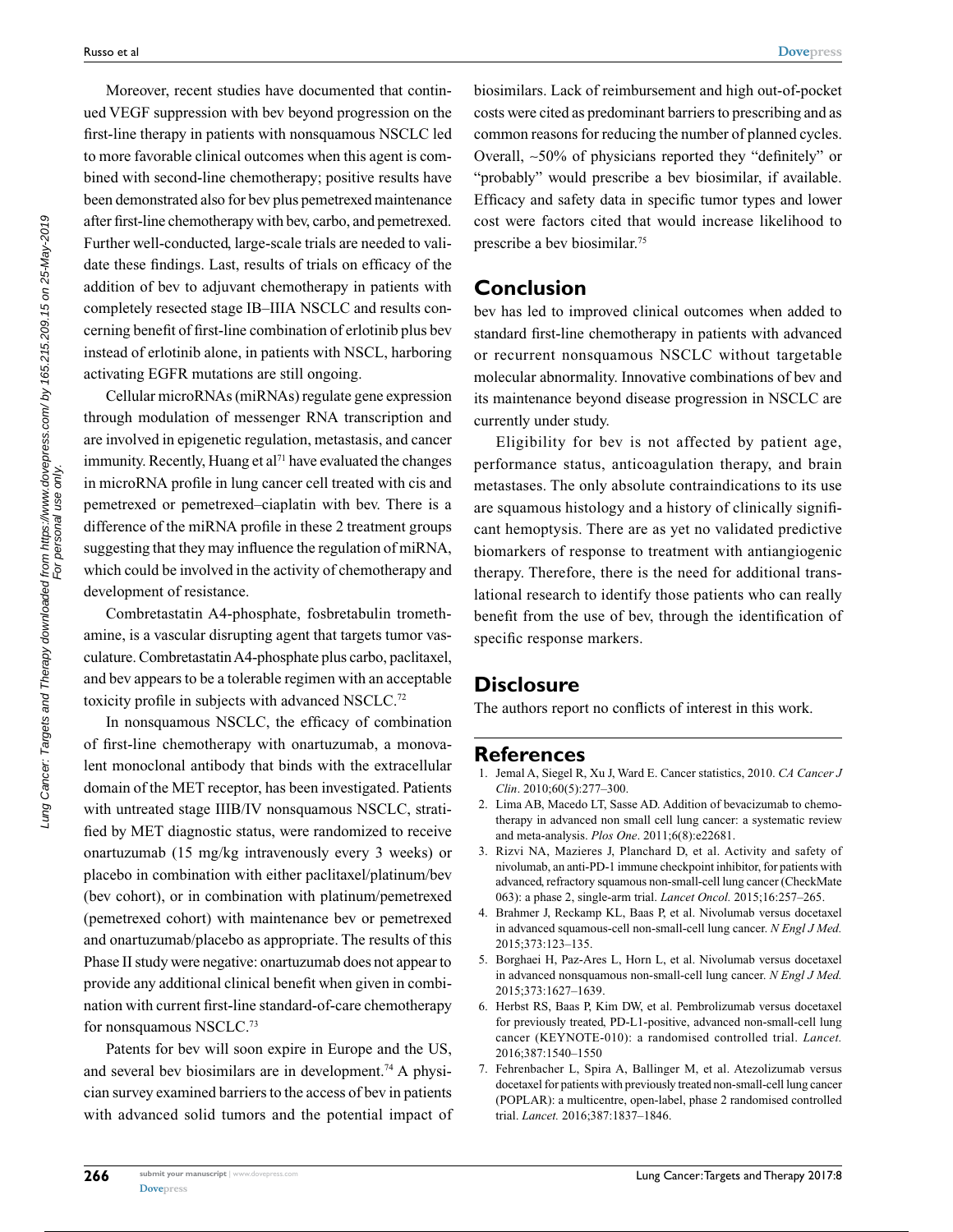Moreover, recent studies have documented that continued VEGF suppression with bev beyond progression on the first-line therapy in patients with nonsquamous NSCLC led to more favorable clinical outcomes when this agent is combined with second-line chemotherapy; positive results have been demonstrated also for bev plus pemetrexed maintenance after first-line chemotherapy with bev, carbo, and pemetrexed. Further well-conducted, large-scale trials are needed to validate these findings. Last, results of trials on efficacy of the addition of bev to adjuvant chemotherapy in patients with completely resected stage IB–IIIA NSCLC and results concerning benefit of first-line combination of erlotinib plus bev instead of erlotinib alone, in patients with NSCL, harboring activating EGFR mutations are still ongoing.

Cellular microRNAs (miRNAs) regulate gene expression through modulation of messenger RNA transcription and are involved in epigenetic regulation, metastasis, and cancer immunity. Recently, Huang et al<sup>71</sup> have evaluated the changes in microRNA profile in lung cancer cell treated with cis and pemetrexed or pemetrexed–ciaplatin with bev. There is a difference of the miRNA profile in these 2 treatment groups suggesting that they may influence the regulation of miRNA, which could be involved in the activity of chemotherapy and development of resistance.

Combretastatin A4-phosphate, fosbretabulin tromethamine, is a vascular disrupting agent that targets tumor vasculature. Combretastatin A4-phosphate plus carbo, paclitaxel, and bev appears to be a tolerable regimen with an acceptable toxicity profile in subjects with advanced NSCLC.<sup>72</sup>

In nonsquamous NSCLC, the efficacy of combination of first-line chemotherapy with onartuzumab, a monovalent monoclonal antibody that binds with the extracellular domain of the MET receptor, has been investigated. Patients with untreated stage IIIB/IV nonsquamous NSCLC, stratified by MET diagnostic status, were randomized to receive onartuzumab (15 mg/kg intravenously every 3 weeks) or placebo in combination with either paclitaxel/platinum/bev (bev cohort), or in combination with platinum/pemetrexed (pemetrexed cohort) with maintenance bev or pemetrexed and onartuzumab/placebo as appropriate. The results of this Phase II study were negative: onartuzumab does not appear to provide any additional clinical benefit when given in combination with current first-line standard-of-care chemotherapy for nonsquamous NSCLC.73

Patents for bev will soon expire in Europe and the US, and several bev biosimilars are in development.<sup>74</sup> A physician survey examined barriers to the access of bev in patients with advanced solid tumors and the potential impact of biosimilars. Lack of reimbursement and high out-of-pocket costs were cited as predominant barriers to prescribing and as common reasons for reducing the number of planned cycles. Overall, ~50% of physicians reported they "definitely" or "probably" would prescribe a bev biosimilar, if available. Efficacy and safety data in specific tumor types and lower cost were factors cited that would increase likelihood to prescribe a bev biosimilar.75

## **Conclusion**

bev has led to improved clinical outcomes when added to standard first-line chemotherapy in patients with advanced or recurrent nonsquamous NSCLC without targetable molecular abnormality. Innovative combinations of bev and its maintenance beyond disease progression in NSCLC are currently under study.

Eligibility for bev is not affected by patient age, performance status, anticoagulation therapy, and brain metastases. The only absolute contraindications to its use are squamous histology and a history of clinically significant hemoptysis. There are as yet no validated predictive biomarkers of response to treatment with antiangiogenic therapy. Therefore, there is the need for additional translational research to identify those patients who can really benefit from the use of bev, through the identification of specific response markers.

## **Disclosure**

The authors report no conflicts of interest in this work.

## **References**

- 1. Jemal A, Siegel R, Xu J, Ward E. Cancer statistics, 2010. *CA Cancer J Clin*. 2010;60(5):277–300.
- 2. Lima AB, Macedo LT, Sasse AD. Addition of bevacizumab to chemotherapy in advanced non small cell lung cancer: a systematic review and meta-analysis. *Plos One*. 2011;6(8):e22681.
- 3. Rizvi NA, Mazieres J, Planchard D, et al. Activity and safety of nivolumab, an anti-PD-1 immune checkpoint inhibitor, for patients with advanced, refractory squamous non-small-cell lung cancer (CheckMate 063): a phase 2, single-arm trial. *Lancet Oncol.* 2015;16:257–265.
- 4. Brahmer J, Reckamp KL, Baas P, et al. Nivolumab versus docetaxel in advanced squamous-cell non-small-cell lung cancer. *N Engl J Med.* 2015;373:123–135.
- 5. Borghaei H, Paz-Ares L, Horn L, et al. Nivolumab versus docetaxel in advanced nonsquamous non-small-cell lung cancer. *N Engl J Med.* 2015;373:1627–1639.
- 6. Herbst RS, Baas P, Kim DW, et al. Pembrolizumab versus docetaxel for previously treated, PD-L1-positive, advanced non-small-cell lung cancer (KEYNOTE-010): a randomised controlled trial. *Lancet.* 2016;387:1540–1550
- 7. Fehrenbacher L, Spira A, Ballinger M, et al. Atezolizumab versus docetaxel for patients with previously treated non-small-cell lung cancer (POPLAR): a multicentre, open-label, phase 2 randomised controlled trial. *Lancet.* 2016;387:1837–1846.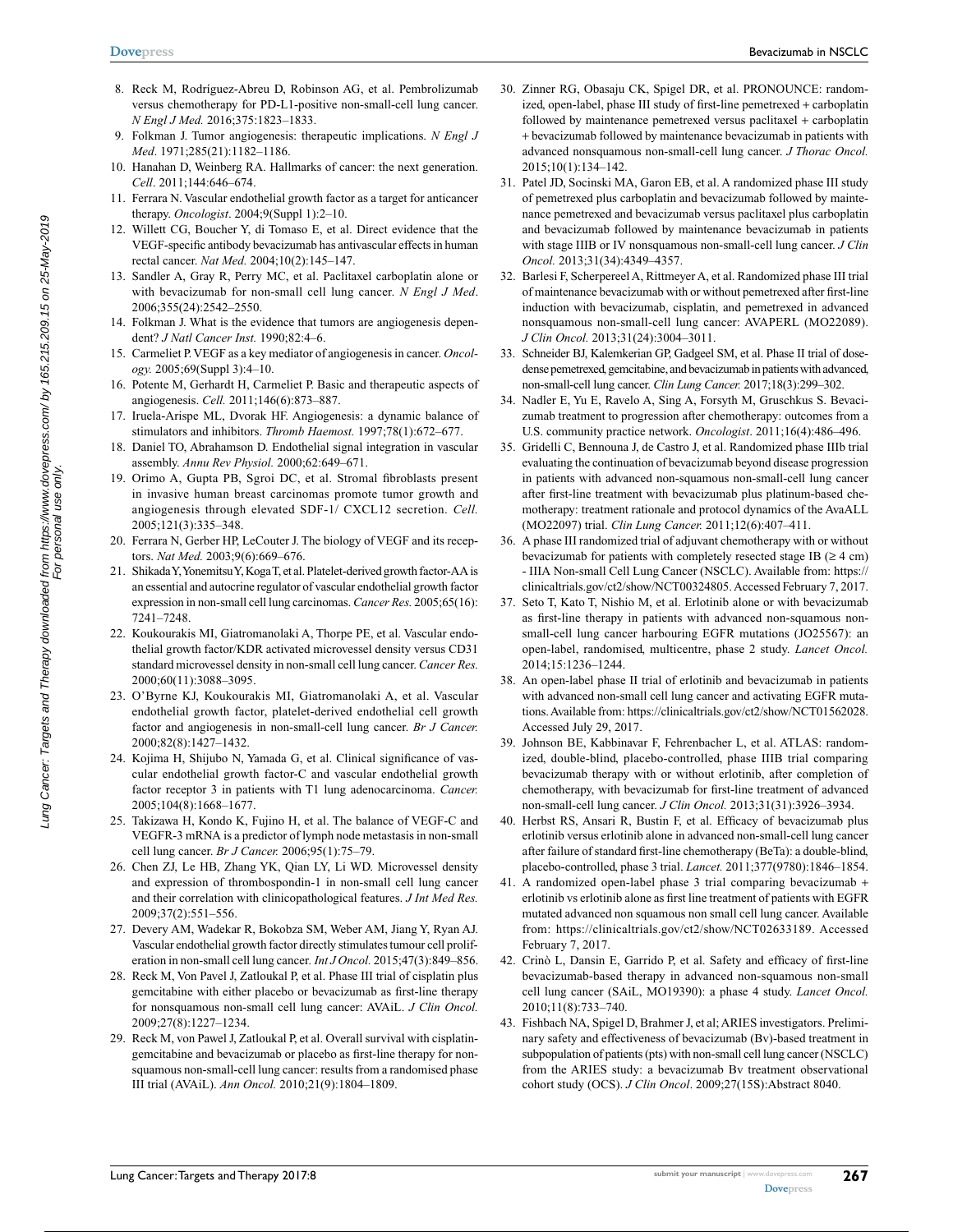- 8. Reck M, Rodríguez-Abreu D, Robinson AG, et al. Pembrolizumab versus chemotherapy for PD-L1-positive non-small-cell lung cancer. *N Engl J Med.* 2016;375:1823–1833.
- 9. Folkman J. Tumor angiogenesis: therapeutic implications. *N Engl J Med*. 1971;285(21):1182–1186.
- 10. Hanahan D, Weinberg RA. Hallmarks of cancer: the next generation. *Cell*. 2011;144:646–674.
- 11. Ferrara N. Vascular endothelial growth factor as a target for anticancer therapy. *Oncologist*. 2004;9(Suppl 1):2–10.
- 12. Willett CG, Boucher Y, di Tomaso E, et al. Direct evidence that the VEGF-specific antibody bevacizumab has antivascular effects in human rectal cancer. *Nat Med.* 2004;10(2):145–147.
- 13. Sandler A, Gray R, Perry MC, et al. Paclitaxel carboplatin alone or with bevacizumab for non-small cell lung cancer. *N Engl J Med*. 2006;355(24):2542–2550.
- 14. Folkman J. What is the evidence that tumors are angiogenesis dependent? *J Natl Cancer Inst.* 1990;82:4–6.
- 15. Carmeliet P. VEGF as a key mediator of angiogenesis in cancer. *Oncology.* 2005;69(Suppl 3):4–10.
- 16. Potente M, Gerhardt H, Carmeliet P. Basic and therapeutic aspects of angiogenesis. *Cell.* 2011;146(6):873–887.
- 17. Iruela-Arispe ML, Dvorak HF. Angiogenesis: a dynamic balance of stimulators and inhibitors. *Thromb Haemost.* 1997;78(1):672–677.
- 18. Daniel TO, Abrahamson D. Endothelial signal integration in vascular assembly. *Annu Rev Physiol.* 2000;62:649–671.
- 19. Orimo A, Gupta PB, Sgroi DC, et al. Stromal fibroblasts present in invasive human breast carcinomas promote tumor growth and angiogenesis through elevated SDF-1/ CXCL12 secretion. *Cell.*  2005;121(3):335–348.
- 20. Ferrara N, Gerber HP, LeCouter J. The biology of VEGF and its receptors. *Nat Med.* 2003;9(6):669–676.
- 21. Shikada Y, Yonemitsu Y, Koga T, et al. Platelet-derived growth factor-AA is an essential and autocrine regulator of vascular endothelial growth factor expression in non-small cell lung carcinomas. *Cancer Res.* 2005;65(16): 7241–7248.
- 22. Koukourakis MI, Giatromanolaki A, Thorpe PE, et al. Vascular endothelial growth factor/KDR activated microvessel density versus CD31 standard microvessel density in non-small cell lung cancer. *Cancer Res.* 2000;60(11):3088–3095.
- 23. O'Byrne KJ, Koukourakis MI, Giatromanolaki A, et al. Vascular endothelial growth factor, platelet-derived endothelial cell growth factor and angiogenesis in non-small-cell lung cancer. *Br J Cancer.* 2000;82(8):1427–1432.
- 24. Kojima H, Shijubo N, Yamada G, et al. Clinical significance of vascular endothelial growth factor-C and vascular endothelial growth factor receptor 3 in patients with T1 lung adenocarcinoma. *Cancer.* 2005;104(8):1668–1677.
- 25. Takizawa H, Kondo K, Fujino H, et al. The balance of VEGF-C and VEGFR-3 mRNA is a predictor of lymph node metastasis in non-small cell lung cancer. *Br J Cancer.* 2006;95(1):75–79.
- 26. Chen ZJ, Le HB, Zhang YK, Qian LY, Li WD. Microvessel density and expression of thrombospondin-1 in non-small cell lung cancer and their correlation with clinicopathological features. *J Int Med Res.*  2009;37(2):551–556.
- 27. Devery AM, Wadekar R, Bokobza SM, Weber AM, Jiang Y, Ryan AJ. Vascular endothelial growth factor directly stimulates tumour cell proliferation in non-small cell lung cancer*. Int J Oncol.* 2015;47(3):849–856.
- 28. Reck M, Von Pavel J, Zatloukal P, et al. Phase III trial of cisplatin plus gemcitabine with either placebo or bevacizumab as first-line therapy for nonsquamous non-small cell lung cancer: AVAiL. *J Clin Oncol.* 2009;27(8):1227–1234.
- 29. Reck M, von Pawel J, Zatloukal P, et al. Overall survival with cisplatingemcitabine and bevacizumab or placebo as first-line therapy for nonsquamous non-small-cell lung cancer: results from a randomised phase III trial (AVAiL). *Ann Oncol.* 2010;21(9):1804–1809.
- 30. Zinner RG, Obasaju CK, Spigel DR, et al. PRONOUNCE: randomized, open-label, phase III study of first-line pemetrexed + carboplatin followed by maintenance pemetrexed versus paclitaxel + carboplatin + bevacizumab followed by maintenance bevacizumab in patients with advanced nonsquamous non-small-cell lung cancer. *J Thorac Oncol.* 2015;10(1):134–142.
- 31. Patel JD, Socinski MA, Garon EB, et al. A randomized phase III study of pemetrexed plus carboplatin and bevacizumab followed by maintenance pemetrexed and bevacizumab versus paclitaxel plus carboplatin and bevacizumab followed by maintenance bevacizumab in patients with stage IIIB or IV nonsquamous non-small-cell lung cancer. *J Clin Oncol.* 2013;31(34):4349–4357.
- 32. Barlesi F, Scherpereel A, Rittmeyer A, et al. Randomized phase III trial of maintenance bevacizumab with or without pemetrexed after first-line induction with bevacizumab, cisplatin, and pemetrexed in advanced nonsquamous non-small-cell lung cancer: AVAPERL (MO22089). *J Clin Oncol.* 2013;31(24):3004–3011.
- 33. Schneider BJ, Kalemkerian GP, Gadgeel SM, et al. Phase II trial of dosedense pemetrexed, gemcitabine, and bevacizumab in patients with advanced, non-small-cell lung cancer. *Clin Lung Cancer.* 2017;18(3):299–302.
- 34. Nadler E, Yu E, Ravelo A, Sing A, Forsyth M, Gruschkus S. Bevacizumab treatment to progression after chemotherapy: outcomes from a U.S. community practice network. *Oncologist*. 2011;16(4):486–496.
- 35. Gridelli C, Bennouna J, de Castro J, et al. Randomized phase IIIb trial evaluating the continuation of bevacizumab beyond disease progression in patients with advanced non-squamous non-small-cell lung cancer after first-line treatment with bevacizumab plus platinum-based chemotherapy: treatment rationale and protocol dynamics of the AvaALL (MO22097) trial. *Clin Lung Cancer.* 2011;12(6):407–411.
- 36. A phase III randomized trial of adjuvant chemotherapy with or without bevacizumab for patients with completely resected stage IB  $(≥ 4 cm)$ - IIIA Non-small Cell Lung Cancer (NSCLC). Available from: [https://](https://clinicaltrials.gov/ct2/show/NCT00324805) [clinicaltrials.gov/ct2/show/NCT00324805](https://clinicaltrials.gov/ct2/show/NCT00324805). Accessed February 7, 2017.
- 37. Seto T, Kato T, Nishio M, et al. Erlotinib alone or with bevacizumab as first-line therapy in patients with advanced non-squamous nonsmall-cell lung cancer harbouring EGFR mutations (JO25567): an open-label, randomised, multicentre, phase 2 study. *Lancet Oncol.* 2014;15:1236–1244.
- 38. An open-label phase II trial of erlotinib and bevacizumab in patients with advanced non-small cell lung cancer and activating EGFR mutations. Available from: https://clinicaltrials.gov/ct2/show/NCT01562028. Accessed July 29, 2017.
- 39. Johnson BE, Kabbinavar F, Fehrenbacher L, et al. ATLAS: randomized, double-blind, placebo-controlled, phase IIIB trial comparing bevacizumab therapy with or without erlotinib, after completion of chemotherapy, with bevacizumab for first-line treatment of advanced non-small-cell lung cancer. *J Clin Oncol.* 2013;31(31):3926–3934.
- 40. Herbst RS, Ansari R, Bustin F, et al. Efficacy of bevacizumab plus erlotinib versus erlotinib alone in advanced non-small-cell lung cancer after failure of standard first-line chemotherapy (BeTa): a double-blind, placebo-controlled, phase 3 trial. *Lancet.* 2011;377(9780):1846–1854.
- 41. A randomized open-label phase 3 trial comparing bevacizumab + erlotinib vs erlotinib alone as first line treatment of patients with EGFR mutated advanced non squamous non small cell lung cancer. Available from: https://clinicaltrials.gov/ct2/show/NCT02633189. Accessed February 7, 2017.
- 42. Crinò L, Dansin E, Garrido P, et al. Safety and efficacy of first-line bevacizumab-based therapy in advanced non-squamous non-small cell lung cancer (SAiL, MO19390): a phase 4 study. *Lancet Oncol.* 2010;11(8):733–740.
- 43. Fishbach NA, Spigel D, Brahmer J, et al; ARIES investigators. Preliminary safety and effectiveness of bevacizumab (Bv)-based treatment in subpopulation of patients (pts) with non-small cell lung cancer (NSCLC) from the ARIES study: a bevacizumab Bv treatment observational cohort study (OCS). *J Clin Oncol*. 2009;27(15S):Abstract 8040.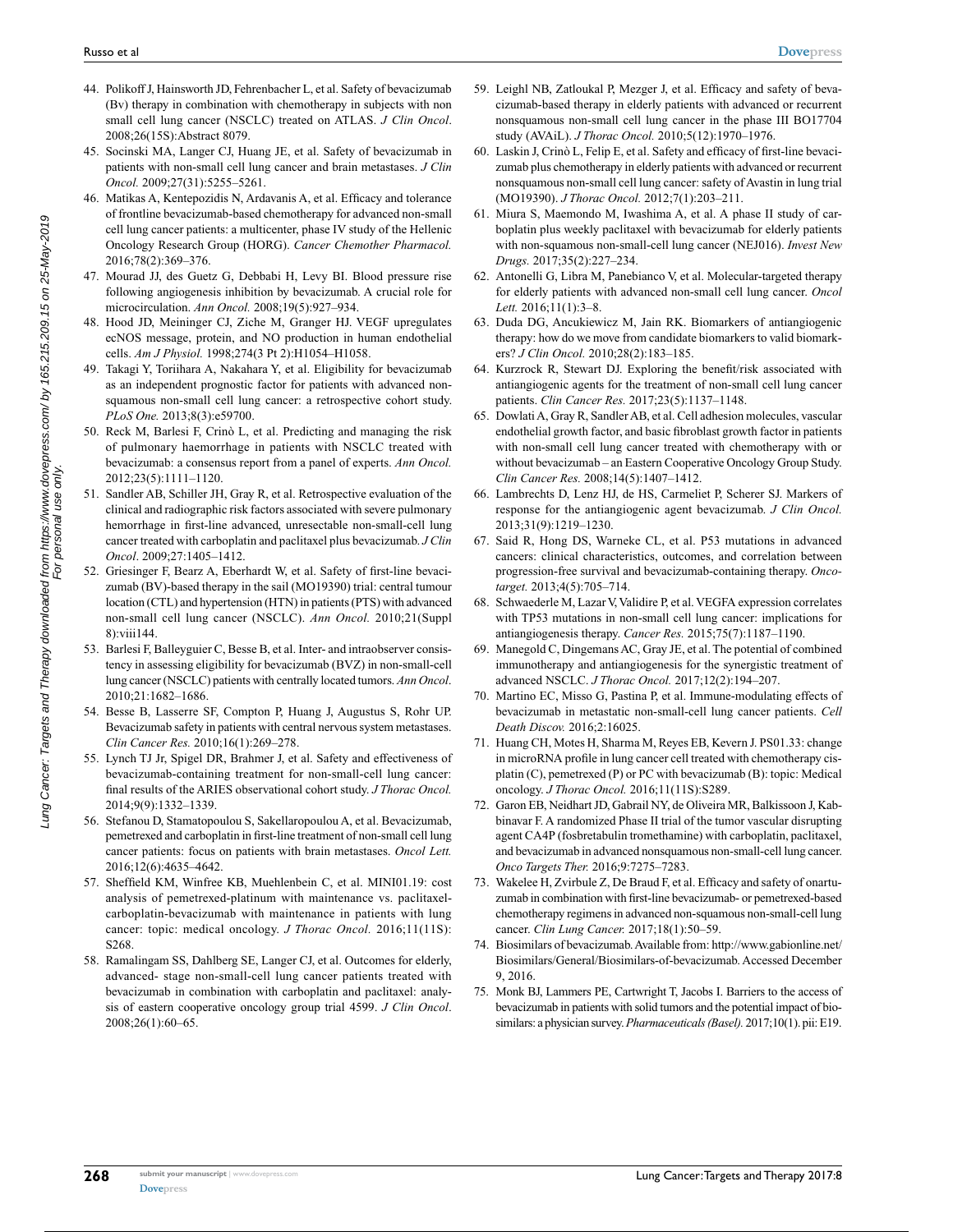- 44. Polikoff J, Hainsworth JD, Fehrenbacher L, et al. Safety of bevacizumab (Bv) therapy in combination with chemotherapy in subjects with non small cell lung cancer (NSCLC) treated on ATLAS. *J Clin Oncol*. 2008;26(15S):Abstract 8079.
- 45. Socinski MA, Langer CJ, Huang JE, et al. Safety of bevacizumab in patients with non-small cell lung cancer and brain metastases. *J Clin Oncol.* 2009;27(31):5255–5261.
- 46. Matikas A, Kentepozidis Ν, Ardavanis A, et al. Efficacy and tolerance of frontline bevacizumab-based chemotherapy for advanced non-small cell lung cancer patients: a multicenter, phase IV study of the Hellenic Oncology Research Group (HORG). *Cancer Chemother Pharmacol.* 2016;78(2):369–376.
- 47. Mourad JJ, des Guetz G, Debbabi H, Levy BI. Blood pressure rise following angiogenesis inhibition by bevacizumab. A crucial role for microcirculation. *Ann Oncol.* 2008;19(5):927–934.
- 48. Hood JD, Meininger CJ, Ziche M, Granger HJ. VEGF upregulates ecNOS message, protein, and NO production in human endothelial cells. *Am J Physiol.* 1998;274(3 Pt 2):H1054–H1058.
- 49. Takagi Y, Toriihara A, Nakahara Y, et al. Eligibility for bevacizumab as an independent prognostic factor for patients with advanced nonsquamous non-small cell lung cancer: a retrospective cohort study. *PLoS One.* 2013;8(3):e59700.
- 50. Reck M, Barlesi F, Crinò L, et al. Predicting and managing the risk of pulmonary haemorrhage in patients with NSCLC treated with bevacizumab: a consensus report from a panel of experts. *Ann Oncol.* 2012;23(5):1111–1120.
- 51. Sandler AB, Schiller JH, Gray R, et al. Retrospective evaluation of the clinical and radiographic risk factors associated with severe pulmonary hemorrhage in first-line advanced, unresectable non-small-cell lung cancer treated with carboplatin and paclitaxel plus bevacizumab. *J Clin Oncol*. 2009;27:1405–1412.
- 52. Griesinger F, Bearz A, Eberhardt W, et al. Safety of first-line bevacizumab (BV)-based therapy in the sail (MO19390) trial: central tumour location (CTL) and hypertension (HTN) in patients (PTS) with advanced non-small cell lung cancer (NSCLC). *Ann Oncol.* 2010;21(Suppl 8):viii144.
- 53. Barlesi F, Balleyguier C, Besse B, et al. Inter- and intraobserver consistency in assessing eligibility for bevacizumab (BVZ) in non-small-cell lung cancer (NSCLC) patients with centrally located tumors. *Ann Oncol*. 2010;21:1682–1686.
- 54. Besse B, Lasserre SF, Compton P, Huang J, Augustus S, Rohr UP. Bevacizumab safety in patients with central nervous system metastases. *Clin Cancer Res.* 2010;16(1):269–278.
- 55. Lynch TJ Jr, Spigel DR, Brahmer J, et al. Safety and effectiveness of bevacizumab-containing treatment for non-small-cell lung cancer: final results of the ARIES observational cohort study. *J Thorac Oncol.* 2014;9(9):1332–1339.
- 56. Stefanou D, Stamatopoulou S, Sakellaropoulou A, et al. Bevacizumab, pemetrexed and carboplatin in first-line treatment of non-small cell lung cancer patients: focus on patients with brain metastases. *Oncol Lett.* 2016;12(6):4635–4642.
- 57. Sheffield KM, Winfree KB, Muehlenbein C, et al. MINI01.19: cost analysis of pemetrexed-platinum with maintenance vs. paclitaxelcarboplatin-bevacizumab with maintenance in patients with lung cancer: topic: medical oncology. *J Thorac Oncol.* 2016;11(11S): S268.
- 58. Ramalingam SS, Dahlberg SE, Langer CJ, et al. Outcomes for elderly, advanced- stage non-small-cell lung cancer patients treated with bevacizumab in combination with carboplatin and paclitaxel: analysis of eastern cooperative oncology group trial 4599. *J Clin Oncol*. 2008;26(1):60–65.
- 59. Leighl NB, Zatloukal P, Mezger J, et al. Efficacy and safety of bevacizumab-based therapy in elderly patients with advanced or recurrent nonsquamous non-small cell lung cancer in the phase III BO17704 study (AVAiL). *J Thorac Oncol.* 2010;5(12):1970–1976.
- 60. Laskin J, Crinò L, Felip E, et al. Safety and efficacy of first-line bevacizumab plus chemotherapy in elderly patients with advanced or recurrent nonsquamous non-small cell lung cancer: safety of Avastin in lung trial (MO19390). *J Thorac Oncol.* 2012;7(1):203–211.
- 61. Miura S, Maemondo M, Iwashima A, et al. A phase II study of carboplatin plus weekly paclitaxel with bevacizumab for elderly patients with non-squamous non-small-cell lung cancer (NEJ016). *Invest New Drugs.* 2017;35(2):227–234.
- 62. Antonelli G, Libra M, Panebianco V, et al. Molecular-targeted therapy for elderly patients with advanced non-small cell lung cancer. *Oncol Lett.* 2016;11(1):3–8.
- 63. Duda DG, Ancukiewicz M, Jain RK. Biomarkers of antiangiogenic therapy: how do we move from candidate biomarkers to valid biomarkers? *J Clin Oncol.* 2010;28(2):183–185.
- 64. Kurzrock R, Stewart DJ. Exploring the benefit/risk associated with antiangiogenic agents for the treatment of non-small cell lung cancer patients. *Clin Cancer Res.* 2017;23(5):1137–1148.
- 65. Dowlati A, Gray R, Sandler AB, et al. Cell adhesion molecules, vascular endothelial growth factor, and basic fibroblast growth factor in patients with non-small cell lung cancer treated with chemotherapy with or without bevacizumab – an Eastern Cooperative Oncology Group Study. *Clin Cancer Res.* 2008;14(5):1407–1412.
- 66. Lambrechts D, Lenz HJ, de HS, Carmeliet P, Scherer SJ. Markers of response for the antiangiogenic agent bevacizumab. *J Clin Oncol.* 2013;31(9):1219–1230.
- 67. Said R, Hong DS, Warneke CL, et al. P53 mutations in advanced cancers: clinical characteristics, outcomes, and correlation between progression-free survival and bevacizumab-containing therapy. *Oncotarget.* 2013;4(5):705–714.
- 68. Schwaederle M, Lazar V, Validire P, et al. VEGFA expression correlates with TP53 mutations in non-small cell lung cancer: implications for antiangiogenesis therapy. *Cancer Res.* 2015;75(7):1187–1190.
- 69. Manegold C, Dingemans AC, Gray JE, et al. The potential of combined immunotherapy and antiangiogenesis for the synergistic treatment of advanced NSCLC. *J Thorac Oncol.* 2017;12(2):194–207.
- Martino EC, Misso G, Pastina P, et al. Immune-modulating effects of bevacizumab in metastatic non-small-cell lung cancer patients. *Cell Death Discov.* 2016;2:16025.
- 71. Huang CH, Motes H, Sharma M, Reyes EB, Kevern J. PS01.33: change in microRNA profile in lung cancer cell treated with chemotherapy cisplatin (C), pemetrexed (P) or PC with bevacizumab (B): topic: Medical oncology. *J Thorac Oncol.* 2016;11(11S):S289.
- 72. Garon EB, Neidhart JD, Gabrail NY, de Oliveira MR, Balkissoon J, Kabbinavar F. A randomized Phase II trial of the tumor vascular disrupting agent CA4P (fosbretabulin tromethamine) with carboplatin, paclitaxel, and bevacizumab in advanced nonsquamous non-small-cell lung cancer. *Onco Targets Ther.* 2016;9:7275–7283.
- 73. Wakelee H, Zvirbule Z, De Braud F, et al. Efficacy and safety of onartuzumab in combination with first-line bevacizumab- or pemetrexed-based chemotherapy regimens in advanced non-squamous non-small-cell lung cancer. *Clin Lung Cancer.* 2017;18(1):50–59.
- 74. Biosimilars of bevacizumab. Available from: [http://www.gabionline.net/](http://www.gabionline.net/Biosimilars/General/Biosimilars-of-bevacizumab) [Biosimilars/General/Biosimilars-of-bevacizumab.](http://www.gabionline.net/Biosimilars/General/Biosimilars-of-bevacizumab) Accessed December 9, 2016.
- 75. Monk BJ, Lammers PE, Cartwright T, Jacobs I. Barriers to the access of bevacizumab in patients with solid tumors and the potential impact of biosimilars: a physician survey. *Pharmaceuticals (Basel).* 2017;10(1). pii: E19.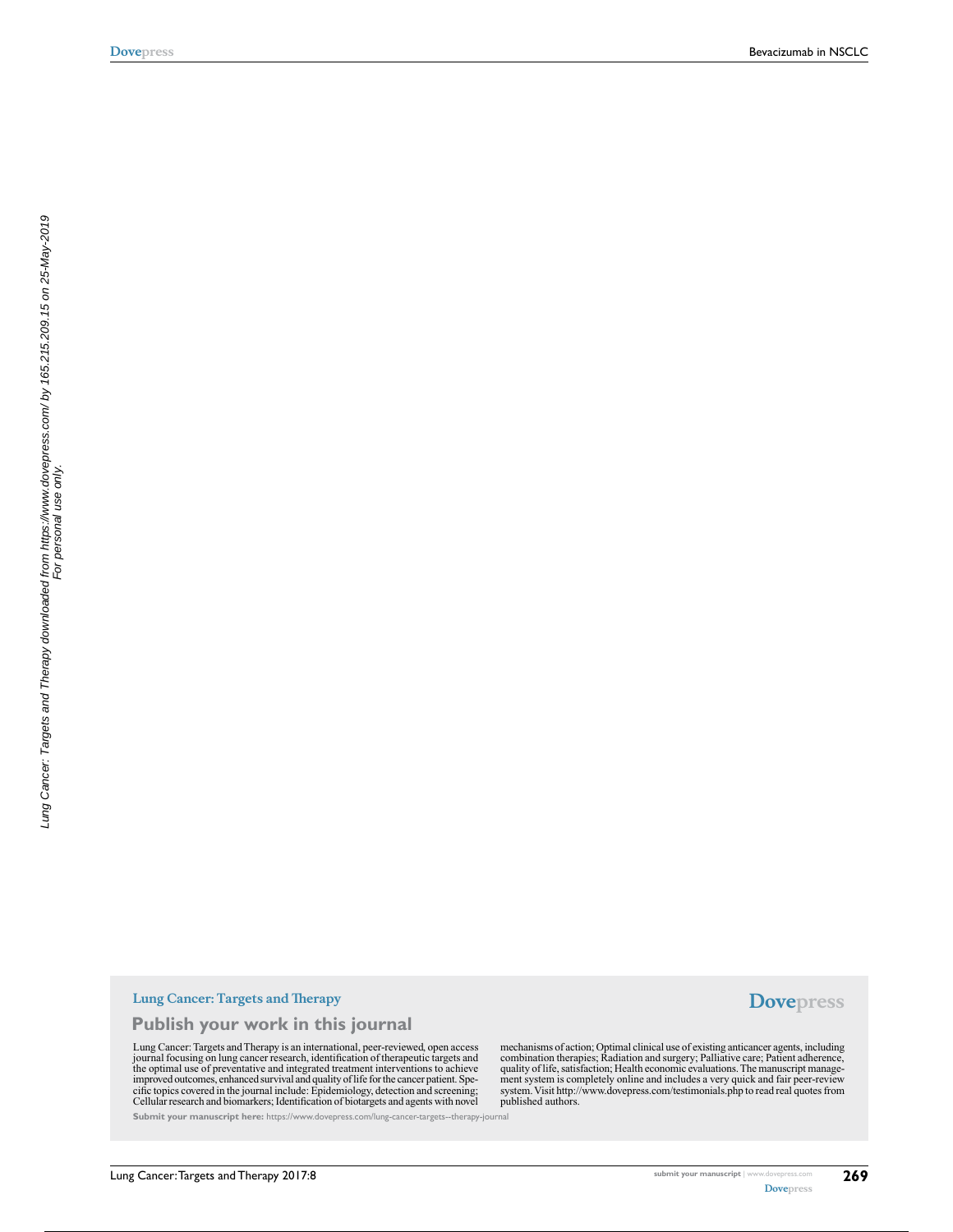#### **Lung Cancer: Targets and Therapy**

**Publish your work in this journal**

Lung Cancer: Targets and Therapy is an international, peer-reviewed, open access journal focusing on lung cancer research, identification of therapeutic targets and<br>the optimal use of preventative and integrated treatment interventions to achieve<br>improved outcomes, enhanced survival and quality of life cific topics covered in the journal include: Epidemiology, detection and screening; Cellular research and biomarkers; Identification of biotargets and agents with novel

**Submit your manuscript here:** https://www.dovepress.com/lung-cancer-targets--therapy-journal

**Dovepress**

mechanisms of action; Optimal clinical use of existing anticancer agents, including combination therapies; Radiation and surgery; Palliative care; Patient adherence,<br>quality of life, satisfaction; Health economic evaluations. The manuscript manage-<br>ment system is completely online and includes a very quic system. Visit http://www.dovepress.com/testimonials.php to read real quotes from published authors.